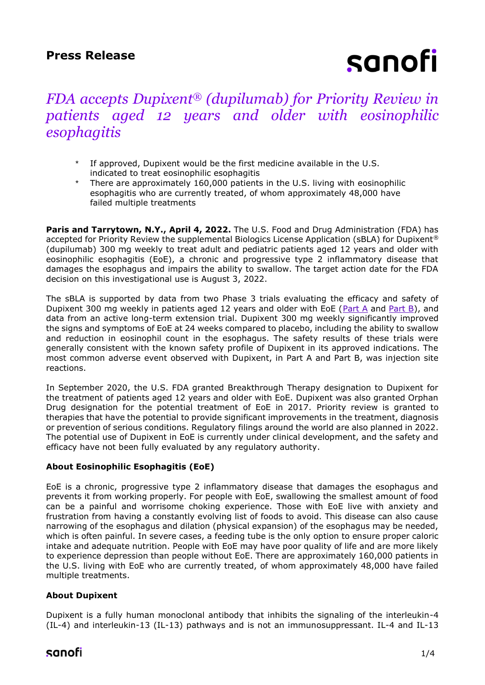# sanofi

# *FDA accepts Dupixent® (dupilumab) for Priority Review in patients aged 12 years and older with eosinophilic esophagitis*

- If approved, Dupixent would be the first medicine available in the U.S. indicated to treat eosinophilic esophagitis
- There are approximately 160,000 patients in the U.S. living with eosinophilic esophagitis who are currently treated, of whom approximately 48,000 have failed multiple treatments

Paris and Tarrytown, N.Y., April 4, 2022. The U.S. Food and Drug Administration (FDA) has accepted for Priority Review the supplemental Biologics License Application (sBLA) for Dupixent® (dupilumab) 300 mg weekly to treat adult and pediatric patients aged 12 years and older with eosinophilic esophagitis (EoE), a chronic and progressive type 2 inflammatory disease that damages the esophagus and impairs the ability to swallow. The target action date for the FDA decision on this investigational use is August 3, 2022.

The sBLA is supported by data from two Phase 3 trials evaluating the efficacy and safety of Dupixent 300 mg weekly in patients aged 12 years and older with EoE [\(Part A](https://www.sanofi.com/en/media-room/press-releases/2020/2020-05-23-00-25-00) and [Part B\)](https://www.sanofi.com/en/media-room/press-releases/2022/2022-02-26-18-05-00-2392626), and data from an active long-term extension trial. Dupixent 300 mg weekly significantly improved the signs and symptoms of EoE at 24 weeks compared to placebo, including the ability to swallow and reduction in eosinophil count in the esophagus. The safety results of these trials were generally consistent with the known safety profile of Dupixent in its approved indications. The most common adverse event observed with Dupixent, in Part A and Part B, was injection site reactions.

In September 2020, the U.S. FDA granted Breakthrough Therapy designation to Dupixent for the treatment of patients aged 12 years and older with EoE. Dupixent was also granted Orphan Drug designation for the potential treatment of EoE in 2017. Priority review is granted to therapies that have the potential to provide significant improvements in the treatment, diagnosis or prevention of serious conditions. Regulatory filings around the world are also planned in 2022. The potential use of Dupixent in EoE is currently under clinical development, and the safety and efficacy have not been fully evaluated by any regulatory authority.

## **About Eosinophilic Esophagitis (EoE)**

EoE is a chronic, progressive type 2 inflammatory disease that damages the esophagus and prevents it from working properly. For people with EoE, swallowing the smallest amount of food can be a painful and worrisome choking experience. Those with EoE live with anxiety and frustration from having a constantly evolving list of foods to avoid. This disease can also cause narrowing of the esophagus and dilation (physical expansion) of the esophagus may be needed, which is often painful. In severe cases, a feeding tube is the only option to ensure proper caloric intake and adequate nutrition. People with EoE may have poor quality of life and are more likely to experience depression than people without EoE. There are approximately 160,000 patients in the U.S. living with EoE who are currently treated, of whom approximately 48,000 have failed multiple treatments.

### **About Dupixent**

Dupixent is a fully human monoclonal antibody that inhibits the signaling of the interleukin-4 (IL-4) and interleukin-13 (IL-13) pathways and is not an immunosuppressant. IL-4 and IL-13

# sanofi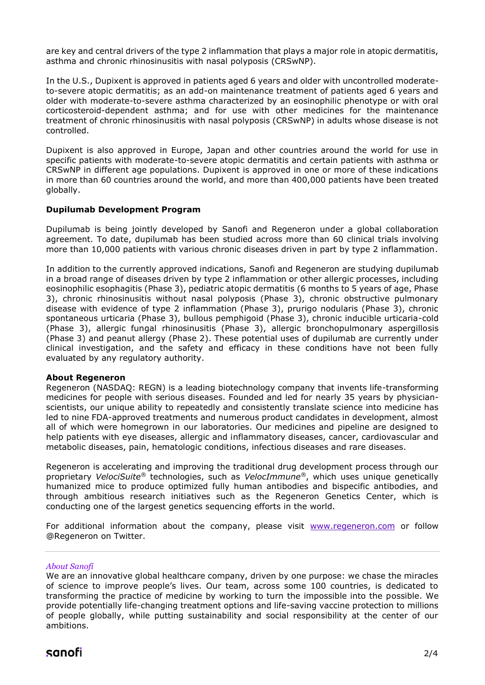are key and central drivers of the type 2 inflammation that plays a major role in atopic dermatitis, asthma and chronic rhinosinusitis with nasal polyposis (CRSwNP).

In the U.S., Dupixent is approved in patients aged 6 years and older with uncontrolled moderateto-severe atopic dermatitis; as an add-on maintenance treatment of patients aged 6 years and older with moderate-to-severe asthma characterized by an eosinophilic phenotype or with oral corticosteroid-dependent asthma; and for use with other medicines for the maintenance treatment of chronic rhinosinusitis with nasal polyposis (CRSwNP) in adults whose disease is not controlled.

Dupixent is also approved in Europe, Japan and other countries around the world for use in specific patients with moderate-to-severe atopic dermatitis and certain patients with asthma or CRSwNP in different age populations. Dupixent is approved in one or more of these indications in more than 60 countries around the world, and more than 400,000 patients have been treated globally.

#### **Dupilumab Development Program**

Dupilumab is being jointly developed by Sanofi and Regeneron under a global collaboration agreement. To date, dupilumab has been studied across more than 60 clinical trials involving more than 10,000 patients with various chronic diseases driven in part by type 2 inflammation.

In addition to the currently approved indications, Sanofi and Regeneron are studying dupilumab in a broad range of diseases driven by type 2 inflammation or other allergic processes, including eosinophilic esophagitis (Phase 3), pediatric atopic dermatitis (6 months to 5 years of age, Phase 3), chronic rhinosinusitis without nasal polyposis (Phase 3), chronic obstructive pulmonary disease with evidence of type 2 inflammation (Phase 3), prurigo nodularis (Phase 3), chronic spontaneous urticaria (Phase 3), bullous pemphigoid (Phase 3), chronic inducible urticaria-cold (Phase 3), allergic fungal rhinosinusitis (Phase 3), allergic bronchopulmonary aspergillosis (Phase 3) and peanut allergy (Phase 2). These potential uses of dupilumab are currently under clinical investigation, and the safety and efficacy in these conditions have not been fully evaluated by any regulatory authority.

#### **About Regeneron**

Regeneron (NASDAQ: REGN) is a leading biotechnology company that invents life-transforming medicines for people with serious diseases. Founded and led for nearly 35 years by physicianscientists, our unique ability to repeatedly and consistently translate science into medicine has led to nine FDA-approved treatments and numerous product candidates in development, almost all of which were homegrown in our laboratories. Our medicines and pipeline are designed to help patients with eye diseases, allergic and inflammatory diseases, cancer, cardiovascular and metabolic diseases, pain, hematologic conditions, infectious diseases and rare diseases.

Regeneron is accelerating and improving the traditional drug development process through our proprietary *VelociSuite®* technologies, such as *VelocImmune®*, which uses unique genetically humanized mice to produce optimized fully human antibodies and bispecific antibodies, and through ambitious research initiatives such as the Regeneron Genetics Center, which is conducting one of the largest genetics sequencing efforts in the world.

For additional information about the company, please visit [www.regeneron.com](http://www.regeneron.com/) or follow @Regeneron on Twitter.

#### *About Sanofi*

We are an innovative global healthcare company, driven by one purpose: we chase the miracles of science to improve people's lives. Our team, across some 100 countries, is dedicated to transforming the practice of medicine by working to turn the impossible into the possible. We provide potentially life-changing treatment options and life-saving vaccine protection to millions of people globally, while putting sustainability and social responsibility at the center of our ambitions.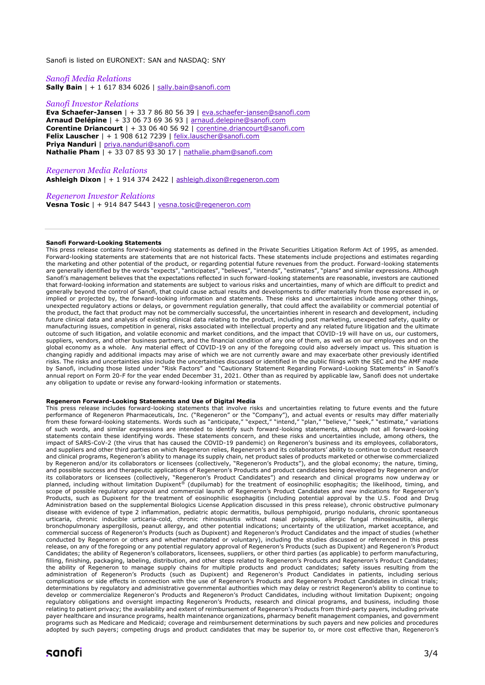Sanofi is listed on EURONEXT: SAN and NASDAQ: SNY

*Sanofi Media Relations* **Sally Bain** | + 1 617 834 6026 | [sally.bain@sanofi.com](mailto:sally.bain@sanofi.com)

#### *Sanofi Investor Relations*

**Eva Schaefer-Jansen** | + 33 7 86 80 56 39 | [eva.schaefer-jansen@sanofi.com](mailto:eva.schaefer-jansen@sanofi.com) **Arnaud Delépine** | + 33 06 73 69 36 93 | [arnaud.delepine@sanofi.com](mailto:arnaud.delepine@sanofi.com) **Corentine Driancourt** | + 33 06 40 56 92 | [corentine.driancourt@sanofi.com](mailto:corentine.driancourt@sanofi.com) **Felix Lauscher** | + 1 908 612 7239 | [felix.lauscher@sanofi.com](mailto:felix.lauscher@sanofi.com) **Priya Nanduri** | [priya.nanduri@sanofi.com](mailto:priya.nanduri@sanofi.com) **Nathalie Pham** | + 33 07 85 93 30 17 | [nathalie.pham@sanofi.com](mailto:nathalie.pham@sanofi.com)

*Regeneron Media Relations* **Ashleigh Dixon** | + 1 914 374 2422 | [ashleigh.dixon@regeneron.com](mailto:ashleigh.dixon@regeneron.com)

*Regeneron Investor Relations* **Vesna Tosic** | + 914 847 5443 | [vesna.tosic@regeneron.com](mailto:vesna.tosic@regeneron.com)

#### **Sanofi Forward-Looking Statements**

This press release contains forward-looking statements as defined in the Private Securities Litigation Reform Act of 1995, as amended. Forward-looking statements are statements that are not historical facts. These statements include projections and estimates regarding the marketing and other potential of the product, or regarding potential future revenues from the product. Forward-looking statements are generally identified by the words "expects", "anticipates", "believes", "intends", "estimates", "plans" and similar expressions. Although Sanofi's management believes that the expectations reflected in such forward-looking statements are reasonable, investors are cautioned that forward-looking information and statements are subject to various risks and uncertainties, many of which are difficult to predict and generally beyond the control of Sanofi, that could cause actual results and developments to differ materially from those expressed in, or implied or projected by, the forward-looking information and statements. These risks and uncertainties include among other things, unexpected regulatory actions or delays, or government regulation generally, that could affect the availability or commercial potential of the product, the fact that product may not be commercially successful, the uncertainties inherent in research and development, including future clinical data and analysis of existing clinical data relating to the product, including post marketing, unexpected safety, quality or manufacturing issues, competition in general, risks associated with intellectual property and any related future litigation and the ultimate outcome of such litigation, and volatile economic and market conditions, and the impact that COVID-19 will have on us, our customers, suppliers, vendors, and other business partners, and the financial condition of any one of them, as well as on our employees and on the global economy as a whole. Any material effect of COVID-19 on any of the foregoing could also adversely impact us. This situation is changing rapidly and additional impacts may arise of which we are not currently aware and may exacerbate other previously identified risks. The risks and uncertainties also include the uncertainties discussed or identified in the public filings with the SEC and the AMF made by Sanofi, including those listed under "Risk Factors" and "Cautionary Statement Regarding Forward-Looking Statements" in Sanofi's annual report on Form 20-F for the year ended December 31, 2021. Other than as required by applicable law, Sanofi does not undertake any obligation to update or revise any forward-looking information or statements.

#### **Regeneron Forward-Looking Statements and Use of Digital Media**

This press release includes forward-looking statements that involve risks and uncertainties relating to future events and the future performance of Regeneron Pharmaceuticals, Inc. ("Regeneron" or the "Company"), and actual events or results may differ materially from these forward-looking statements. Words such as "anticipate," "expect," "intend," "plan," "believe," "seek," "estimate," variations of such words, and similar expressions are intended to identify such forward-looking statements, although not all forward-looking statements contain these identifying words. These statements concern, and these risks and uncertainties include, among others, the impact of SARS-CoV-2 (the virus that has caused the COVID-19 pandemic) on Regeneron's business and its employees, collaborators, and suppliers and other third parties on which Regeneron relies, Regeneron's and its collaborators' ability to continue to conduct research and clinical programs, Regeneron's ability to manage its supply chain, net product sales of products marketed or otherwise commercialized by Regeneron and/or its collaborators or licensees (collectively, "Regeneron's Products"), and the global economy; the nature, timing, and possible success and therapeutic applications of Regeneron's Products and product candidates being developed by Regeneron and/or its collaborators or licensees (collectively, "Regeneron's Product Candidates") and research and clinical programs now underway or planned, including without limitation Dupixent® (dupilumab) for the treatment of eosinophilic esophagitis; the likelihood, timing, and scope of possible regulatory approval and commercial launch of Regeneron's Product Candidates and new indications for Regeneron's Products, such as Dupixent for the treatment of eosinophilic esophagitis (including potential approval by the U.S. Food and Drug Administration based on the supplemental Biologics License Application discussed in this press release), chronic obstructive pulmonary disease with evidence of type 2 inflammation, pediatric atopic dermatitis, bullous pemphigoid, prurigo nodularis, chronic spontaneous urticaria, chronic inducible urticaria-cold, chronic rhinosinusitis without nasal polyposis, allergic fungal rhinosinusitis, allergic bronchopulmonary aspergillosis, peanut allergy, and other potential indications; uncertainty of the utilization, market acceptance, and commercial success of Regeneron's Products (such as Dupixent) and Regeneron's Product Candidates and the impact of studies (whether conducted by Regeneron or others and whether mandated or voluntary), including the studies discussed or referenced in this press release, on any of the foregoing or any potential regulatory approval of Regeneron's Products (such as Dupixent) and Regeneron's Product Candidates; the ability of Regeneron's collaborators, licensees, suppliers, or other third parties (as applicable) to perform manufacturing, filling, finishing, packaging, labeling, distribution, and other steps related to Regeneron's Products and Regeneron's Product Candidates; the ability of Regeneron to manage supply chains for multiple products and product candidates; safety issues resulting from the administration of Regeneron's Products (such as Dupixent) and Regeneron's Product Candidates in patients, including serious complications or side effects in connection with the use of Regeneron's Products and Regeneron's Product Candidates in clinical trials; determinations by regulatory and administrative governmental authorities which may delay or restrict Regeneron's ability to continue to develop or commercialize Regeneron's Products and Regeneron's Product Candidates, including without limitation Dupixent; ongoing regulatory obligations and oversight impacting Regeneron's Products, research and clinical programs, and business, including those relating to patient privacy; the availability and extent of reimbursement of Regeneron's Products from third-party payers, including private payer healthcare and insurance programs, health maintenance organizations, pharmacy benefit management companies, and government programs such as Medicare and Medicaid; coverage and reimbursement determinations by such payers and new policies and procedures adopted by such payers; competing drugs and product candidates that may be superior to, or more cost effective than, Regeneron's